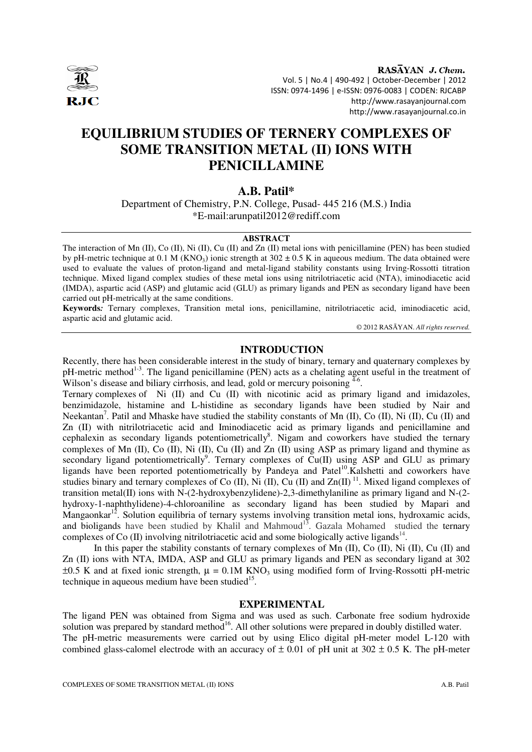

RASAYAN J. Chem. Vol. 5 | No.4 | 490-492 | October-December | 2012 ISSN: 0974-1496 | e-ISSN: 0976-0083 | CODEN: RJCABP http://www.rasayanjournal.com http://www.rasayanjournal.co.in

# **EQUILIBRIUM STUDIES OF TERNERY COMPLEXES OF SOME TRANSITION METAL (II) IONS WITH PENICILLAMINE**

# **A.B. Patil\***

Department of Chemistry, P.N. College, Pusad- 445 216 (M.S.) India \*E-mail:arunpatil2012@rediff.com

### **ABSTRACT**

The interaction of Mn (II), Co (II), Ni (II), Cu (II) and Zn (II) metal ions with penicillamine (PEN) has been studied by pH-metric technique at 0.1 M (KNO<sub>3</sub>) ionic strength at  $302 \pm 0.5$  K in aqueous medium. The data obtained were used to evaluate the values of proton-ligand and metal-ligand stability constants using Irving-Rossotti titration technique. Mixed ligand complex studies of these metal ions using nitrilotriacetic acid (NTA), iminodiacetic acid (IMDA), aspartic acid (ASP) and glutamic acid (GLU) as primary ligands and PEN as secondary ligand have been carried out pH-metrically at the same conditions.

**Keywords***:* Ternary complexes, Transition metal ions, penicillamine, nitrilotriacetic acid, iminodiacetic acid, aspartic acid and glutamic acid.

© 2012 RASĀYAN. *All rights reserved.*

## **INTRODUCTION**

Recently, there has been considerable interest in the study of binary, ternary and quaternary complexes by pH-metric method<sup>1-3</sup>. The ligand penicillamine (PEN) acts as a chelating agent useful in the treatment of Wilson's disease and biliary cirrhosis, and lead, gold or mercury poisoning  $4-6$ .

Ternary complexes of Ni (II) and Cu (II) with nicotinic acid as primary ligand and imidazoles, benzimidazole, histamine and L-histidine as secondary ligands have been studied by Nair and Neekantan<sup>7</sup>. Patil and Mhaske have studied the stability constants of Mn (II), Co (II), Ni (II), Cu (II) and Zn (II) with nitrilotriacetic acid and Iminodiacetic acid as primary ligands and penicillamine and cephalexin as secondary ligands potentiometrically<sup>8</sup>. Nigam and coworkers have studied the ternary complexes of Mn (II), Co (II), Ni (II), Cu (II) and Zn (II) using ASP as primary ligand and thymine as secondary ligand potentiometrically<sup>9</sup>. Ternary complexes of  $Cu(II)$  using ASP and GLU as primary ligands have been reported potentiometrically by Pandeya and Patel<sup>10</sup>.Kalshetti and coworkers have studies binary and ternary complexes of Co  $(II)$ , Ni  $(II)$ , Cu  $(II)$  and  $Zn(II)$ <sup>11</sup>. Mixed ligand complexes of transition metal(II) ions with N-(2-hydroxybenzylidene)-2,3-dimethylaniline as primary ligand and N-(2 hydroxy-1-naphthylidene)-4-chloroaniline as secondary ligand has been studied by Mapari and Mangaonkar<sup>12</sup>. Solution equilibria of ternary systems involving transition metal ions, hydroxamic acids, and bioligands have been studied by Khalil and Mahmoud<sup>13</sup>. Gazala Mohamed studied the ternary complexes of Co  $(II)$  involving nitrilotriacetic acid and some biologically active ligands<sup>14</sup>.

In this paper the stability constants of ternary complexes of Mn (II), Co (II), Ni (II), Cu (II) and Zn (II) ions with NTA, IMDA, ASP and GLU as primary ligands and PEN as secondary ligand at 302  $\pm 0.5$  K and at fixed ionic strength,  $\mu = 0.1M$  KNO<sub>3</sub> using modified form of Irving-Rossotti pH-metric technique in aqueous medium have been studied $15$ .

# **EXPERIMENTAL**

The ligand PEN was obtained from Sigma and was used as such. Carbonate free sodium hydroxide solution was prepared by standard method<sup>16</sup>. All other solutions were prepared in doubly distilled water. The pH-metric measurements were carried out by using Elico digital pH-meter model L-120 with combined glass-calomel electrode with an accuracy of  $\pm$  0.01 of pH unit at 302  $\pm$  0.5 K. The pH-meter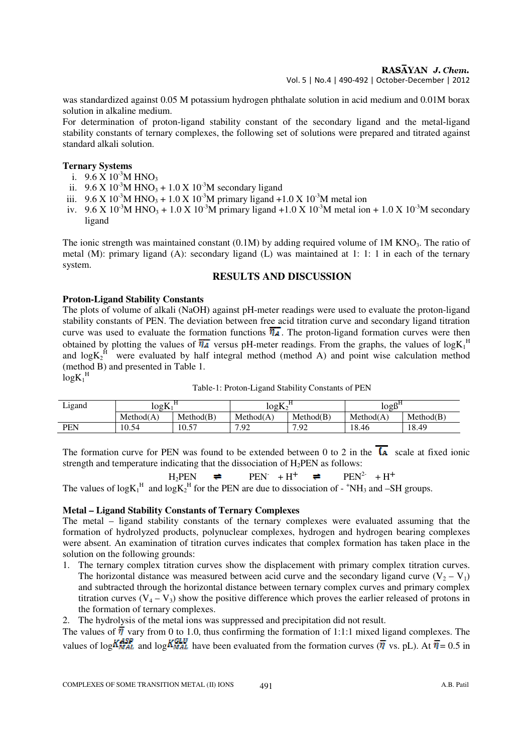## RASAYAN J. Chem.

Vol. 5 | No.4 | 490-492 | October-December | 2012

was standardized against 0.05 M potassium hydrogen phthalate solution in acid medium and 0.01M borax solution in alkaline medium.

For determination of proton-ligand stability constant of the secondary ligand and the metal-ligand stability constants of ternary complexes, the following set of solutions were prepared and titrated against standard alkali solution.

## **Ternary Systems**

- i.  $9.6 \times 10^{-3}$ M HNO<sub>3</sub>
- ii.  $9.6 \text{ X } 10^{-3} \text{M HNO}_3 + 1.0 \text{ X } 10^{-3} \text{M secondary ligand}$
- iii.  $9.6 \text{ X } 10^{-3} \text{M HNO}_3 + 1.0 \text{ X } 10^{-3} \text{M}$  primary ligand +1.0 X 10<sup>-3</sup>M metal ion
- iv.  $9.6 \text{ X } 10^{-3} \text{M HNO}_3 + 1.0 \text{ X } 10^{-3} \text{M}$  primary ligand +1.0 X  $10^{-3} \text{M}$  metal ion + 1.0 X  $10^{-3} \text{M}$  secondary ligand

The ionic strength was maintained constant  $(0.1M)$  by adding required volume of  $1M KNO<sub>3</sub>$ . The ratio of metal (M): primary ligand (A): secondary ligand (L) was maintained at 1: 1: 1 in each of the ternary system.

# **RESULTS AND DISCUSSION**

# **Proton-Ligand Stability Constants**

The plots of volume of alkali (NaOH) against pH-meter readings were used to evaluate the proton-ligand stability constants of PEN. The deviation between free acid titration curve and secondary ligand titration curve was used to evaluate the formation functions  $\overline{\eta_A}$ . The proton-ligand formation curves were then obtained by plotting the values of  $\overline{n_A}$  versus pH-meter readings. From the graphs, the values of log $K_1^H$ and  $logK_2^H$  were evaluated by half integral method (method A) and point wise calculation method (method B) and presented in Table 1.  $logK_1$ <sup>H</sup>

| Table-1: Proton-Ligand Stability Constants of PEN |  |
|---------------------------------------------------|--|
|---------------------------------------------------|--|

| Ligand | log K     |            | $logK_2$             |               | 10gB <sup>H</sup> |           |  |
|--------|-----------|------------|----------------------|---------------|-------------------|-----------|--|
|        | Method(A) | Method(B)  | Method(A)            | Method(B)     | Method(A)         | Method(B) |  |
| PEN    | 10.54     | 57<br>.U.J | . റ~<br>$\mathbf{r}$ | $\Omega$<br>. | 1 O<br>18.46      | 8.49      |  |

The formation curve for PEN was found to be extended between 0 to 2 in the  $\overline{A}$  scale at fixed ionic strength and temperature indicating that the dissociation of H<sub>2</sub>PEN as follows:

$$
H_2 PEN \quad \rightleftharpoons \quad PEN^{\cdot} + H^+ \quad \rightleftharpoons \quad PEN^{2-} + H^+
$$

The values of log $K_1^H$  and log $K_2^H$  for the PEN are due to dissociation of -  $^+NH_3$  and -SH groups.

# **Metal – Ligand Stability Constants of Ternary Complexes**

The metal – ligand stability constants of the ternary complexes were evaluated assuming that the formation of hydrolyzed products, polynuclear complexes, hydrogen and hydrogen bearing complexes were absent. An examination of titration curves indicates that complex formation has taken place in the solution on the following grounds:

- 1. The ternary complex titration curves show the displacement with primary complex titration curves. The horizontal distance was measured between acid curve and the secondary ligand curve  $(V_2 - V_1)$ and subtracted through the horizontal distance between ternary complex curves and primary complex titration curves  $(V_4 - V_3)$  show the positive difference which proves the earlier released of protons in the formation of ternary complexes.
- 2. The hydrolysis of the metal ions was suppressed and precipitation did not result.

The values of  $\overline{\eta}$  vary from 0 to 1.0, thus confirming the formation of 1:1:1 mixed ligand complexes. The values of log  $\frac{V_{MAL}}{N_{MAL}}$  and log  $\frac{V_{MAL}}{N_{MAL}}$  have been evaluated from the formation curves ( $\overline{\eta}$  vs. pL). At  $\overline{\eta} = 0.5$  in